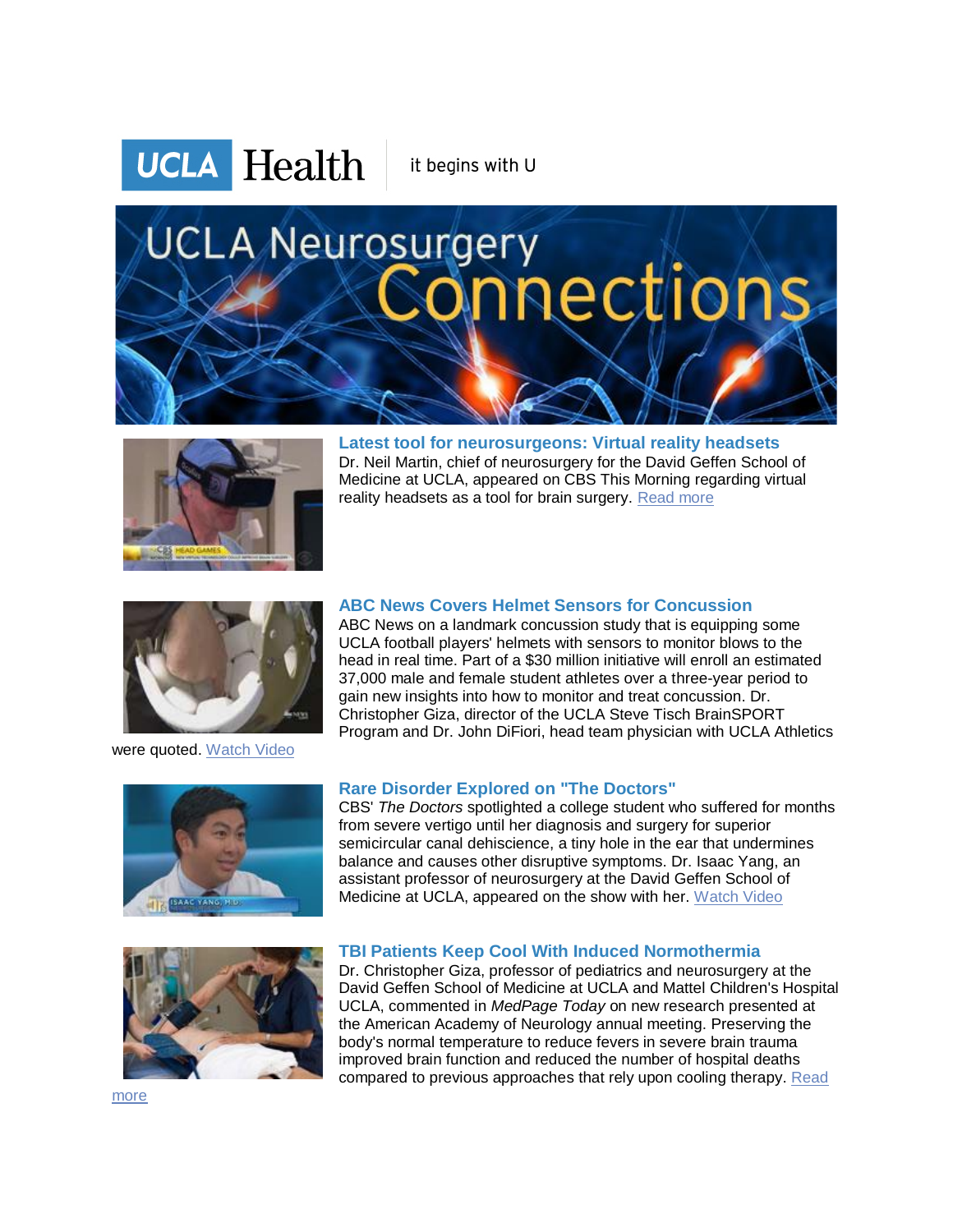

it begins with U

# **UCLA Neurosurgery** onnections



**Latest tool for neurosurgeons: Virtual reality headsets** Dr. Neil Martin, chief of neurosurgery for the David Geffen School of Medicine at UCLA, appeared on CBS This Morning regarding virtual reality headsets as a tool for brain surgery. [Read more](http://r20.rs6.net/tn.jsp?f=001jfRnhucBc64WlP9xfhr99Uq2HmQPJY4jrpGu5Iqi-WARBR9CU_pQW7IPbqWimsDOavr-4IhK1jIk1QOs6-MCcb-QkX_bTnCtmvbkqVOD89K0BwP0QZy1Y2vpTCTth7q8HBVXizszagw1nrhy5WFS_TaXi4nDdW5izNFPztwfi8ZqHKt4NInYShLHfp4w2ulSWBmrnqDuY7XA5vrwtcxm_gAXqbPlDC-QFw6kATcnatq-Z2pQJmFSSzqyDgg8hA1zrcCi6plWOza4aoivB-I499uFZeM02ECb2CusMd0vy7cvUhl_twO7EHaB9W3MLalvQhBWZYRmaWMlGeGko0El07QX3SyzZQbBV2eWnq9Om2DIHXm3f7PPj6h2Hls3Y-gOEjwnIPJLFagal092DpIRling9KjTuTy7eiq_C6CHzv7HTM0h8qaw6Wy_s6d3p3gJ&c=Gi2AMEjZnS50F4RXxnvKyn1c-or9OmLdrvM1D9hIluJpHXJVo1pqCA==&ch=-TWx5dQ9_Yusspm2tj1KJr98m2DJsKf1tamkZ7_ZvwtuzNP3k2b32w==)

**ABC News Covers Helmet Sensors for Concussion** ABC News on a landmark concussion study that is equipping some UCLA football players' helmets with sensors to monitor blows to the head in real time. Part of a \$30 million initiative will enroll an estimated 37,000 male and female student athletes over a three-year period to gain new insights into how to monitor and treat concussion. Dr. Christopher Giza, director of the UCLA Steve Tisch BrainSPORT



were quoted. [Watch Video](http://r20.rs6.net/tn.jsp?f=001jfRnhucBc64WlP9xfhr99Uq2HmQPJY4jrpGu5Iqi-WARBR9CU_pQW7IPbqWimsDOm6sWmtFiX0lmkRWx2W06g5RBK7gwzkJ8F5TJ-QYZGOJ3bEtH2cN26r21KBbBBhI4BiFz2YQiiT5FOfYUHIEmaHni7NPMMrZ9i7PWMyl0rvTjb0J_mA4A7Ja8f0-Ps1j78AwUhmrIqiDI59vNQZi7Vu2UUGbSx0Po6hlnaAZ2y38ccwbw3apXXykmGMZtGPnXJZV1Vuizk92ivrXSg50p9VA6MTDUY1mD3NPkK3kXPEdmeF_NTE4fkX1AjGEr8eIm45UWDgQ3j_4qz-sadUghsFPGmYBPrOSUCpPGtK4SdCAEOlTq5h0EfiFAcwUOZtkjykAfS7P9_bsIUCqrJ2cAVxl1HCON4eA9t462X3SvFYURYPCqBqO3kVLutEIAqbnlyVPNkliqO7o=&c=Gi2AMEjZnS50F4RXxnvKyn1c-or9OmLdrvM1D9hIluJpHXJVo1pqCA==&ch=-TWx5dQ9_Yusspm2tj1KJr98m2DJsKf1tamkZ7_ZvwtuzNP3k2b32w==)



**Rare Disorder Explored on "The Doctors"** CBS' *The Doctors* spotlighted a college student who suffered for months from severe vertigo until her diagnosis and surgery for superior semicircular canal dehiscience, a tiny hole in the ear that undermines balance and causes other disruptive symptoms. Dr. Isaac Yang, an assistant professor of neurosurgery at the David Geffen School of Medicine at UCLA, appeared on the show with her. [Watch Video](http://r20.rs6.net/tn.jsp?f=001jfRnhucBc64WlP9xfhr99Uq2HmQPJY4jrpGu5Iqi-WARBR9CU_pQW7IPbqWimsDO_cDeKuAlljdrVdzH6vIGieJE3wwSKtj30sJR2suu76mIPprKp3I2WMiDgo_G-T0xjZJIqm1q5gilGwqLYdJVTZ7eUPd1Szv_Amn0GEoFnXpB30U8K5dFNYg35siXoOzwT1mHNN5tzXVIPQoDbF7AedaqPgjn0PlRninaMB3aSOSHTh87HSsNmrH7Mqs17kjhn268jAdQie8rufWwcvuthkVZHH2iyRx68uhEepXUFwGJsNhlktRTlY4WG1vkTDEk_GlUMhDWiv7L8Xn3MnLO9IiIs3leHeN09U4HoKwP9vuDLz2LKMQEa7fgd7CtWBAUhTHyGaw8vAIklfCo6Abjldt_4aq_841EGL-B3HD5nOdFTSzkcXzW4MNRnip0Ciu7Ox4Lt0Pdmsc=&c=Gi2AMEjZnS50F4RXxnvKyn1c-or9OmLdrvM1D9hIluJpHXJVo1pqCA==&ch=-TWx5dQ9_Yusspm2tj1KJr98m2DJsKf1tamkZ7_ZvwtuzNP3k2b32w==)

Program and Dr. John DiFiori, head team physician with UCLA Athletics

# **TBI Patients Keep Cool With Induced Normothermia**

Dr. Christopher Giza, professor of pediatrics and neurosurgery at the David Geffen School of Medicine at UCLA and Mattel Children's Hospital UCLA, commented in *MedPage Today* on new research presented at the American Academy of Neurology annual meeting. Preserving the body's normal temperature to reduce fevers in severe brain trauma improved brain function and reduced the number of hospital deaths compared to previous approaches that rely upon cooling therapy. Read

[more](http://r20.rs6.net/tn.jsp?f=001jfRnhucBc64WlP9xfhr99Uq2HmQPJY4jrpGu5Iqi-WARBR9CU_pQW7IPbqWimsDOIYgWlTzPDejb5Se2UoSM_k8fZ1wHP0Nb23U2AzgOQJO6zCm7R28aAefNZHq6Su7CX2dFCQEaJ4uO0NUS7RqYl4ZAtdycwc2qK3Log8wEL7tQwriOCmKekC-1yVzY9q_THGwtX1Ts43ZgKpsg07sOo3uabj0Y3aWAllqcf40pVT7gf3bCO7RAKvEYrfc-l2xvK3NFqsmGQlr-XSkxKLfSIZn3O3G_w4TxWWkW6N4pLddmfE4notE90MIZ2DaPl5012__omNzcISK74dsBBkxaW3Zt-DliQ25Vpj6ySxzJN9l8YRwtqTdmBGcbZsUNjPsW&c=Gi2AMEjZnS50F4RXxnvKyn1c-or9OmLdrvM1D9hIluJpHXJVo1pqCA==&ch=-TWx5dQ9_Yusspm2tj1KJr98m2DJsKf1tamkZ7_ZvwtuzNP3k2b32w==)